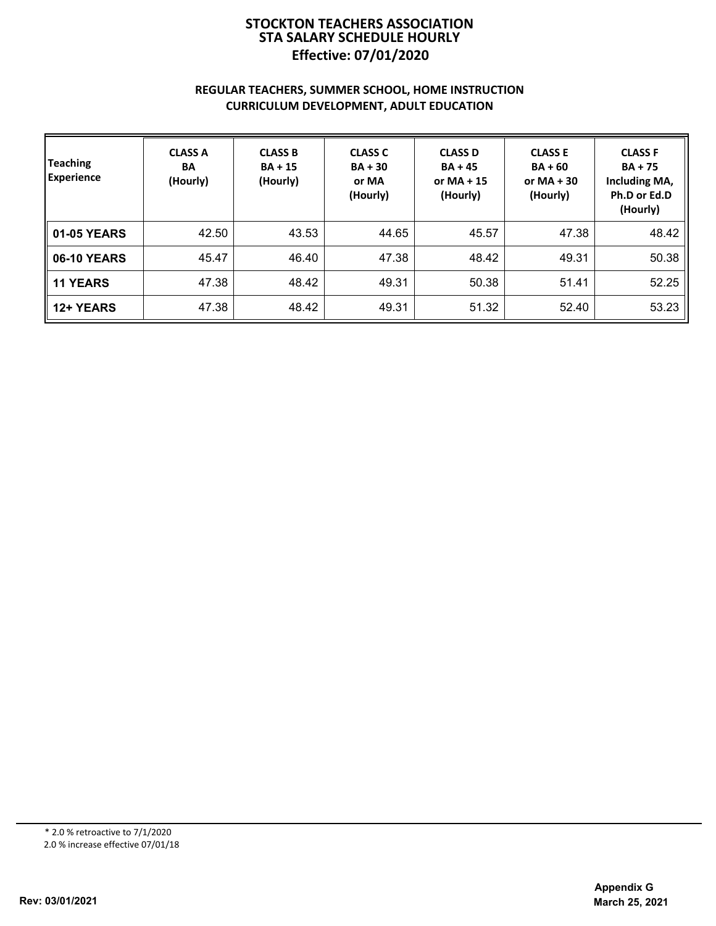# **Effective: 07/01/2020 STOCKTON TEACHERS ASSOCIATION STA SALARY SCHEDULE HOURLY**

## **REGULAR TEACHERS, SUMMER SCHOOL, HOME INSTRUCTION CURRICULUM DEVELOPMENT, ADULT EDUCATION**

| Teaching<br><b>Experience</b> | <b>CLASS A</b><br><b>BA</b><br>(Hourly) | <b>CLASS B</b><br>$BA + 15$<br>(Hourly) | <b>CLASS C</b><br>$BA + 30$<br>or MA<br>(Hourly) | <b>CLASS D</b><br>$BA + 45$<br>or $MA + 15$<br>(Hourly) | <b>CLASS E</b><br>$BA + 60$<br>or $MA + 30$<br>(Hourly) | <b>CLASS F</b><br>$BA + 75$<br>Including MA,<br>Ph.D or Ed.D<br>(Hourly) |
|-------------------------------|-----------------------------------------|-----------------------------------------|--------------------------------------------------|---------------------------------------------------------|---------------------------------------------------------|--------------------------------------------------------------------------|
| 01-05 YEARS                   | 42.50                                   | 43.53                                   | 44.65                                            | 45.57                                                   | 47.38                                                   | 48.42                                                                    |
| <b>06-10 YEARS</b>            | 45.47                                   | 46.40                                   | 47.38                                            | 48.42                                                   | 49.31                                                   | 50.38                                                                    |
| <b>11 YEARS</b>               | 47.38                                   | 48.42                                   | 49.31                                            | 50.38                                                   | 51.41                                                   | 52.25                                                                    |
| 12+ YEARS                     | 47.38                                   | 48.42                                   | 49.31                                            | 51.32                                                   | 52.40                                                   | 53.23                                                                    |

\* 2.0 % retroactive to 7/1/2020

2.0 % increase effective 07/01/18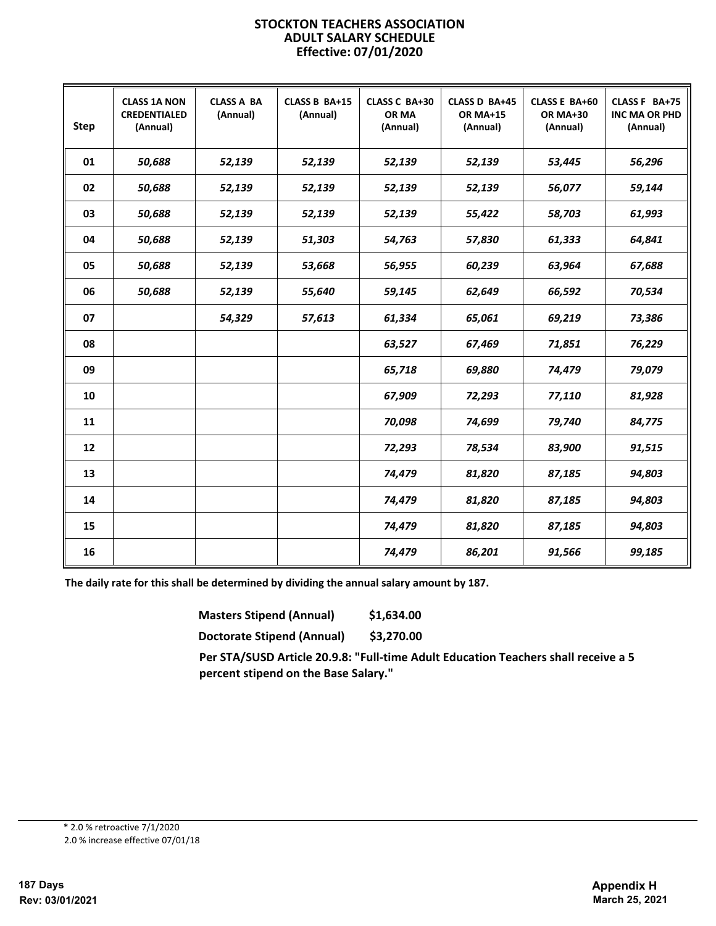#### **STOCKTON TEACHERS ASSOCIATION ADULT SALARY SCHEDULE Effective: 07/01/2020**

| <b>Step</b> | <b>CLASS 1A NON</b><br><b>CREDENTIALED</b><br>(Annual) | <b>CLASS A BA</b><br>(Annual) | CLASS B BA+15<br>(Annual) | CLASS C BA+30<br>OR MA<br>(Annual) | CLASS D BA+45<br><b>OR MA+15</b><br>(Annual) | CLASS E BA+60<br><b>OR MA+30</b><br>(Annual) | CLASS F BA+75<br><b>INC MA OR PHD</b><br>(Annual) |
|-------------|--------------------------------------------------------|-------------------------------|---------------------------|------------------------------------|----------------------------------------------|----------------------------------------------|---------------------------------------------------|
| 01          | 50.688                                                 | 52,139                        | 52,139                    | 52,139                             | 52,139                                       | 53,445                                       | 56,296                                            |
| 02          | 50,688                                                 | 52,139                        | 52,139                    | 52,139                             | 52,139                                       | 56,077                                       | 59,144                                            |
| 03          | 50,688                                                 | 52,139                        | 52,139                    | 52,139                             | 55,422                                       | 58,703                                       | 61,993                                            |
| 04          | 50,688                                                 | 52,139                        | 51,303                    | 54,763                             | 57,830                                       | 61,333                                       | 64,841                                            |
| 05          | 50,688                                                 | 52,139                        | 53,668                    | 56,955                             | 60,239                                       | 63,964                                       | 67,688                                            |
| 06          | 50,688                                                 | 52,139                        | 55,640                    | 59,145                             | 62,649                                       | 66,592                                       | 70,534                                            |
| 07          |                                                        | 54,329                        | 57,613                    | 61,334                             | 65,061                                       | 69,219                                       | 73,386                                            |
| 08          |                                                        |                               |                           | 63,527                             | 67,469                                       | 71,851                                       | 76,229                                            |
| 09          |                                                        |                               |                           | 65,718                             | 69,880                                       | 74,479                                       | 79,079                                            |
| 10          |                                                        |                               |                           | 67,909                             | 72,293                                       | 77,110                                       | 81,928                                            |
| 11          |                                                        |                               |                           | 70,098                             | 74,699                                       | 79,740                                       | 84,775                                            |
| 12          |                                                        |                               |                           | 72,293                             | 78,534                                       | 83,900                                       | 91,515                                            |
| 13          |                                                        |                               |                           | 74,479                             | 81,820                                       | 87,185                                       | 94,803                                            |
| 14          |                                                        |                               |                           | 74,479                             | 81,820                                       | 87,185                                       | 94,803                                            |
| 15          |                                                        |                               |                           | 74,479                             | 81,820                                       | 87,185                                       | 94,803                                            |
| 16          |                                                        |                               |                           | 74,479                             | 86,201                                       | 91,566                                       | 99,185                                            |

**The daily rate for this shall be determined by dividing the annual salary amount by 187.**

| <b>Masters Stipend (Annual)</b> |  | \$1,634.00 |  |
|---------------------------------|--|------------|--|
|                                 |  |            |  |

**Doctorate Stipend (Annual) \$3,270.00**

**Per STA/SUSD Article 20.9.8: "Full-time Adult Education Teachers shall receive a 5 percent stipend on the Base Salary."**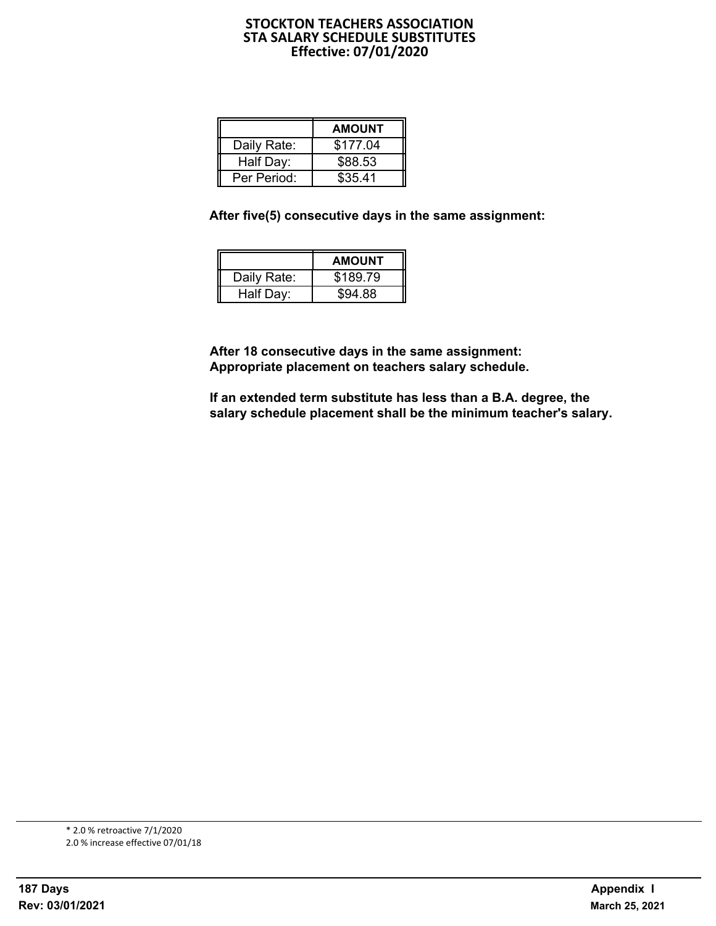# **STOCKTON TEACHERS ASSOCIATION STA SALARY SCHEDULE SUBSTITUTES Effective: 07/01/2020**

|             | <b>AMOUNT</b> |
|-------------|---------------|
| Daily Rate: | \$177.04      |
| Half Day:   | \$88.53       |
| Per Period: | \$35.41       |

**After five(5) consecutive days in the same assignment:**

|             | <b>AMOUNT</b> |
|-------------|---------------|
| Daily Rate: | \$189.79      |
| Half Day:   | \$94.88       |

**After 18 consecutive days in the same assignment: Appropriate placement on teachers salary schedule.**

**If an extended term substitute has less than a B.A. degree, the salary schedule placement shall be the minimum teacher's salary.**

2.0 % increase effective 07/01/18 \* 2.0 % retroactive 7/1/2020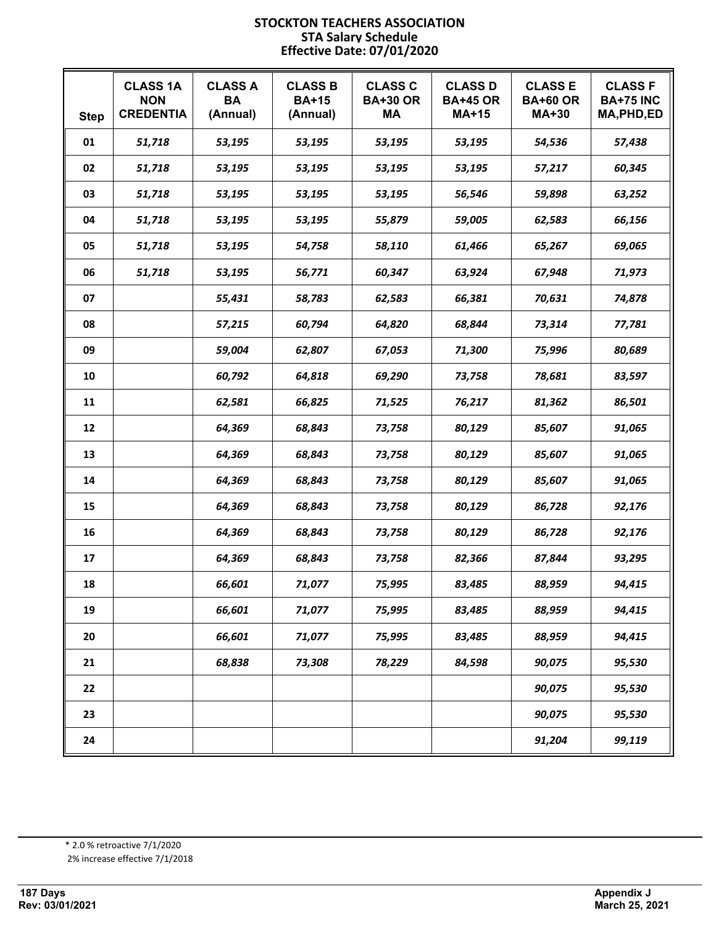### **STOCKTON TEACHERS ASSOCIATION STA Salary Schedule Effective Date: 07/01/2020**

| <b>Step</b> | <b>CLASS 1A</b><br><b>NON</b><br><b>CREDENTIA</b> | <b>CLASS A</b><br><b>BA</b><br>(Annual) | <b>CLASS B</b><br><b>BA+15</b><br>(Annual) | <b>CLASS C</b><br><b>BA+30 OR</b><br>MА | <b>CLASS D</b><br><b>BA+45 OR</b><br><b>MA+15</b> | <b>CLASS E</b><br><b>BA+60 OR</b><br><b>MA+30</b> | <b>CLASS F</b><br><b>BA+75 INC</b><br>MA, PHD, ED |
|-------------|---------------------------------------------------|-----------------------------------------|--------------------------------------------|-----------------------------------------|---------------------------------------------------|---------------------------------------------------|---------------------------------------------------|
| 01          | 51,718                                            | 53,195                                  | 53,195                                     | 53,195                                  | 53,195                                            | 54,536                                            | 57,438                                            |
| 02          | 51,718                                            | 53,195                                  | 53,195                                     | 53,195                                  | 53,195                                            | 57,217                                            | 60,345                                            |
| 03          | 51,718                                            | 53,195                                  | 53,195                                     | 53,195                                  | 56,546                                            | 59,898                                            | 63,252                                            |
| 04          | 51,718                                            | 53,195                                  | 53,195                                     | 55,879                                  | 59,005                                            | 62,583                                            | 66,156                                            |
| 05          | 51,718                                            | 53,195                                  | 54,758                                     | 58,110                                  | 61,466                                            | 65,267                                            | 69,065                                            |
| 06          | 51,718                                            | 53,195                                  | 56,771                                     | 60,347                                  | 63,924                                            | 67,948                                            | 71,973                                            |
| 07          |                                                   | 55,431                                  | 58,783                                     | 62,583                                  | 66,381                                            | 70,631                                            | 74,878                                            |
| 08          |                                                   | 57,215                                  | 60,794                                     | 64,820                                  | 68,844                                            | 73,314                                            | 77,781                                            |
| 09          |                                                   | 59,004                                  | 62,807                                     | 67,053                                  | 71,300                                            | 75,996                                            | 80,689                                            |
| 10          |                                                   | 60,792                                  | 64,818                                     | 69,290                                  | 73,758                                            | 78,681                                            | 83,597                                            |
| 11          |                                                   | 62,581                                  | 66,825                                     | 71,525                                  | 76,217                                            | 81,362                                            | 86,501                                            |
| 12          |                                                   | 64,369                                  | 68,843                                     | 73,758                                  | 80,129                                            | 85,607                                            | 91,065                                            |
| 13          |                                                   | 64,369                                  | 68,843                                     | 73,758                                  | 80,129                                            | 85,607                                            | 91,065                                            |
| 14          |                                                   | 64,369                                  | 68,843                                     | 73,758                                  | 80,129                                            | 85,607                                            | 91,065                                            |
| 15          |                                                   | 64,369                                  | 68,843                                     | 73,758                                  | 80,129                                            | 86,728                                            | 92,176                                            |
| 16          |                                                   | 64,369                                  | 68,843                                     | 73,758                                  | 80,129                                            | 86,728                                            | 92,176                                            |
| 17          |                                                   | 64,369                                  | 68,843                                     | 73,758                                  | 82,366                                            | 87,844                                            | 93,295                                            |
| 18          |                                                   | 66,601                                  | 71,077                                     | 75,995                                  | 83,485                                            | 88,959                                            | 94,415                                            |
| 19          |                                                   | 66,601                                  | 71,077                                     | 75,995                                  | 83,485                                            | 88,959                                            | 94,415                                            |
| 20          |                                                   | 66,601                                  | 71,077                                     | 75,995                                  | 83,485                                            | 88,959                                            | 94,415                                            |
| 21          |                                                   | 68,838                                  | 73,308                                     | 78,229                                  | 84,598                                            | 90,075                                            | 95,530                                            |
| 22          |                                                   |                                         |                                            |                                         |                                                   | 90,075                                            | 95,530                                            |
| 23          |                                                   |                                         |                                            |                                         |                                                   | 90,075                                            | 95,530                                            |
| 24          |                                                   |                                         |                                            |                                         |                                                   | 91,204                                            | 99,119                                            |

2% increase effective 7/1/2018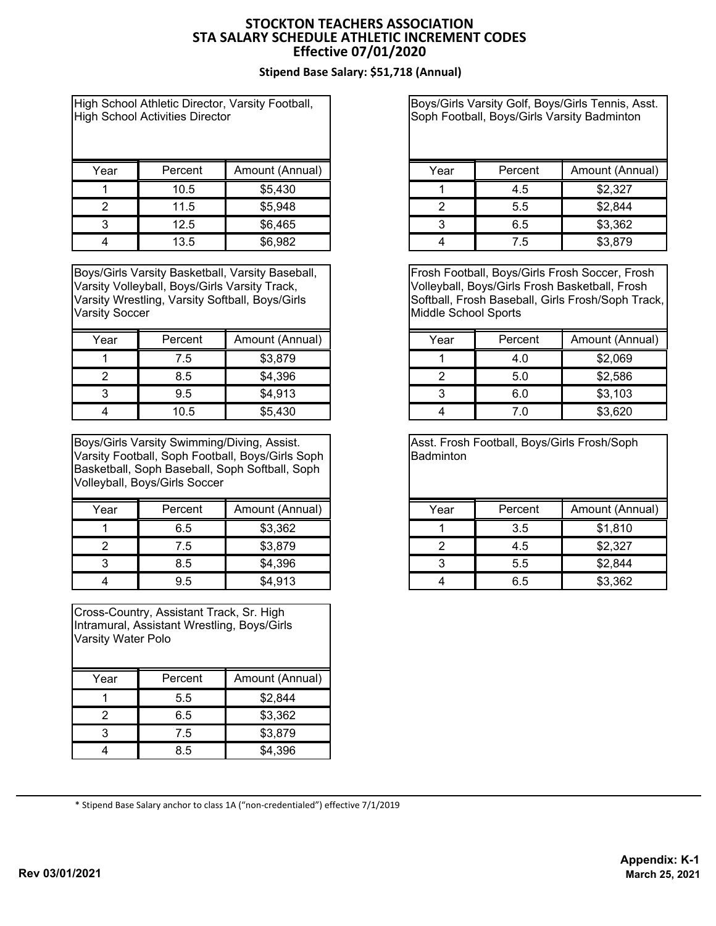# **STOCKTON TEACHERS ASSOCIATION STA SALARY SCHEDULE ATHLETIC INCREMENT CODES Effective 07/01/2020**

# **Stipend Base Salary: \$51,718 (Annual)**

High School Athletic Director, Varsity Football, High School Activities Director

| Year | Percent | Amount (Annual) |
|------|---------|-----------------|
|      | 10.5    | \$5,430         |
|      | 11.5    | \$5,948         |
|      | 12.5    | \$6,465         |
|      | 13.5    | \$6,982         |

Boys/Girls Varsity Basketball, Varsity Baseball, Varsity Volleyball, Boys/Girls Varsity Track, Varsity Wrestling, Varsity Softball, Boys/Girls Varsity Soccer

| Year | Percent | Amount (Annual) |
|------|---------|-----------------|
|      | 7.5     | \$3,879         |
|      | 8.5     | \$4,396         |
|      | 9.5     | \$4,913         |
|      | 10.5    | \$5,430         |

Boys/Girls Varsity Swimming/Diving, Assist. Varsity Football, Soph Football, Boys/Girls Soph Basketball, Soph Baseball, Soph Softball, Soph Volleyball, Boys/Girls Soccer

| Year | Percent | Amount (Annual) |
|------|---------|-----------------|
|      | 6.5     | \$3,362         |
|      | 7.5     | \$3,879         |
|      | 8.5     | \$4,396         |
|      | ว ร     | \$4,913         |

Cross-Country, Assistant Track, Sr. High Intramural, Assistant Wrestling, Boys/Girls Varsity Water Polo

| Year | Percent | Amount (Annual) |
|------|---------|-----------------|
|      | 5.5     | \$2,844         |
|      | 6.5     | \$3,362         |
|      | 7.5     | \$3,879         |
|      | 8.5     | \$4,396         |

Boys/Girls Varsity Golf, Boys/Girls Tennis, Asst. Soph Football, Boys/Girls Varsity Badminton

| Year | Percent | Amount (Annual) |
|------|---------|-----------------|
|      | 4.5     | \$2,327         |
|      | 5.5     | \$2,844         |
|      | 6.5     | \$3,362         |
|      | 7.5     | \$3,879         |

Frosh Football, Boys/Girls Frosh Soccer, Frosh Volleyball, Boys/Girls Frosh Basketball, Frosh Softball, Frosh Baseball, Girls Frosh/Soph Track, Middle School Sports

| Year | Percent | Amount (Annual) |
|------|---------|-----------------|
|      | 4.0     | \$2,069         |
|      | 5.0     | \$2,586         |
|      | 6.0     | \$3,103         |
|      |         | \$3,620         |

Asst. Frosh Football, Boys/Girls Frosh/Soph **Badminton** 

| Year | Percent | Amount (Annual) |
|------|---------|-----------------|
|      | 3.5     | \$1,810         |
|      | 4.5     | \$2,327         |
|      | 5.5     | \$2,844         |
|      | 6.5     | \$3,362         |

\* Stipend Base Salary anchor to class 1A ("non-credentialed") effective 7/1/2019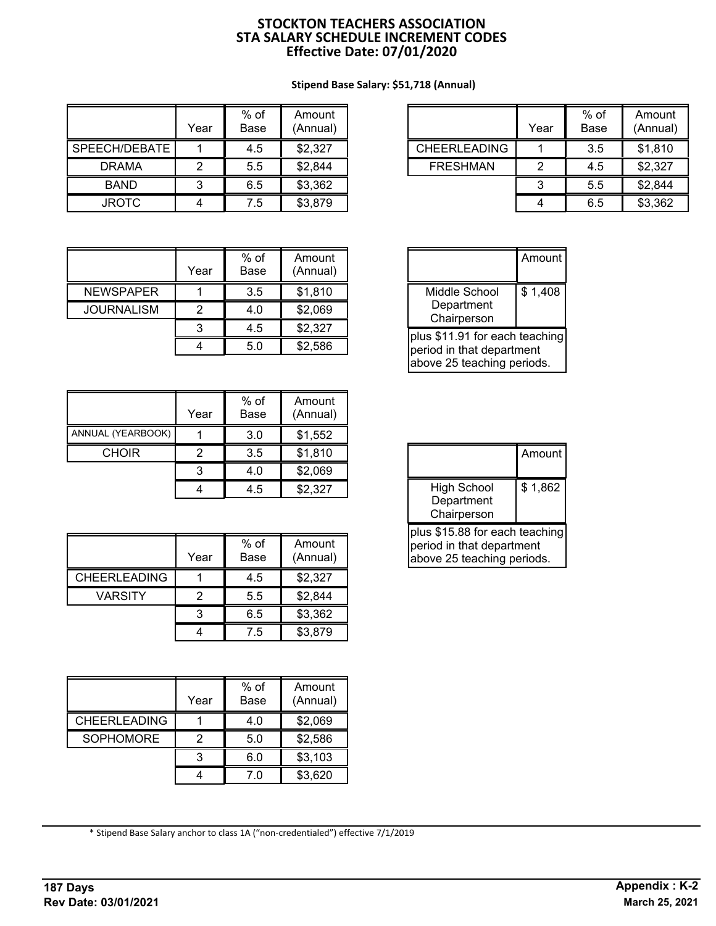# **STOCKTON TEACHERS ASSOCIATION STA SALARY SCHEDULE INCREMENT CODES Effective Date: 07/01/2020**

## **Stipend Base Salary: \$51,718 (Annual)**

|               | Year | $%$ of<br>Base | Amount<br>(Annual) |
|---------------|------|----------------|--------------------|
| SPEECH/DEBATE |      | 4.5            | \$2,327            |
| <b>DRAMA</b>  |      | 5.5            | \$2,844            |
| <b>BAND</b>   | 3    | 6.5            | \$3,362            |
| <b>JROTC</b>  |      | 7.5            | \$3,879            |

|                     | Year | $%$ of<br>Base | Amount<br>(Annual) |
|---------------------|------|----------------|--------------------|
| <b>CHEERLEADING</b> |      | 3.5            | \$1,810            |
| <b>FRESHMAN</b>     |      | 4.5            | \$2,327            |
|                     |      | 5.5            | \$2,844            |
|                     |      | 6.5            | \$3,362            |

|                   | Year | $%$ of<br>Base | Amount<br>(Annual) |
|-------------------|------|----------------|--------------------|
| <b>NEWSPAPER</b>  |      | 3.5            | \$1,810            |
| <b>JOURNALISM</b> |      | 4.0            | \$2,069            |
|                   |      | 4.5            | \$2,327            |
|                   |      | 5.0            | \$2,586            |

|                   | Year | $%$ of<br>Base | Amount<br>(Annual) |
|-------------------|------|----------------|--------------------|
| ANNUAL (YEARBOOK) |      | 3.0            | \$1,552            |
| <b>CHOIR</b>      |      | 3.5            | \$1,810            |
|                   | 3    | 4.0            | \$2,069            |
|                   |      | 4.5            | \$2,327            |

|                     | Year | $%$ of<br>Base | Amount<br>(Annual) |
|---------------------|------|----------------|--------------------|
| <b>CHEERLEADING</b> |      | 4.5            | \$2,327            |
| <b>VARSITY</b>      |      | 5.5            | \$2,844            |
|                     |      | 6.5            | \$3,362            |
|                     |      | 7.5            | \$3,879            |

|                     | Year | $%$ of<br>Base | Amount<br>(Annual) |
|---------------------|------|----------------|--------------------|
| <b>CHEERLEADING</b> |      | 4.0            | \$2,069            |
| <b>SOPHOMORE</b>    |      | 5.0            | \$2,586            |
|                     |      | 6.0            | \$3,103            |
|                     |      | 7.0            | \$3,620            |

|                                                                                           | Amount  |
|-------------------------------------------------------------------------------------------|---------|
| Middle School<br>Department<br>Chairperson                                                | \$1,408 |
| plus \$11.91 for each teaching<br>period in that department<br>above 25 teaching periods. |         |

|                                                                                           | Amount  |
|-------------------------------------------------------------------------------------------|---------|
| <b>High School</b><br>Department<br>Chairperson                                           | \$1,862 |
| plus \$15.88 for each teaching<br>period in that department<br>above 25 teaching periods. |         |

\* Stipend Base Salary anchor to class 1A ("non-credentialed") effective 7/1/2019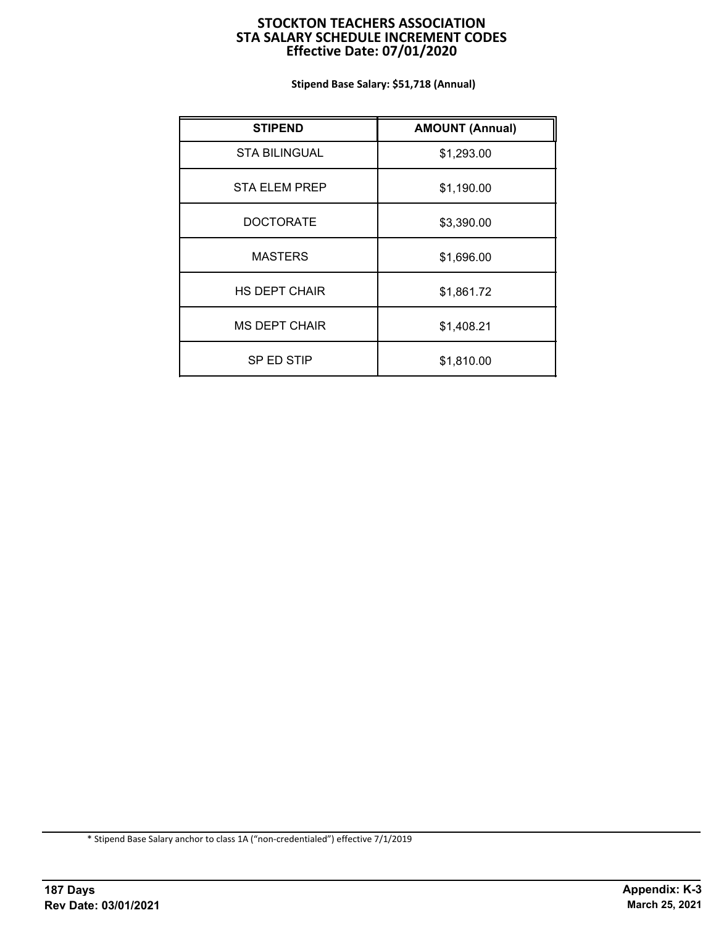## **STOCKTON TEACHERS ASSOCIATION STA SALARY SCHEDULE INCREMENT CODES Effective Date: 07/01/2020**

**Stipend Base Salary: \$51,718 (Annual)**

| <b>STIPEND</b>       | <b>AMOUNT (Annual)</b> |
|----------------------|------------------------|
| <b>STA BILINGUAL</b> | \$1,293.00             |
| <b>STA ELEM PREP</b> | \$1,190.00             |
| <b>DOCTORATE</b>     | \$3,390.00             |
| <b>MASTERS</b>       | \$1,696.00             |
| <b>HS DEPT CHAIR</b> | \$1,861.72             |
| <b>MS DEPT CHAIR</b> | \$1,408.21             |
| SP ED STIP           | \$1,810.00             |

\* Stipend Base Salary anchor to class 1A ("non-credentialed") effective 7/1/2019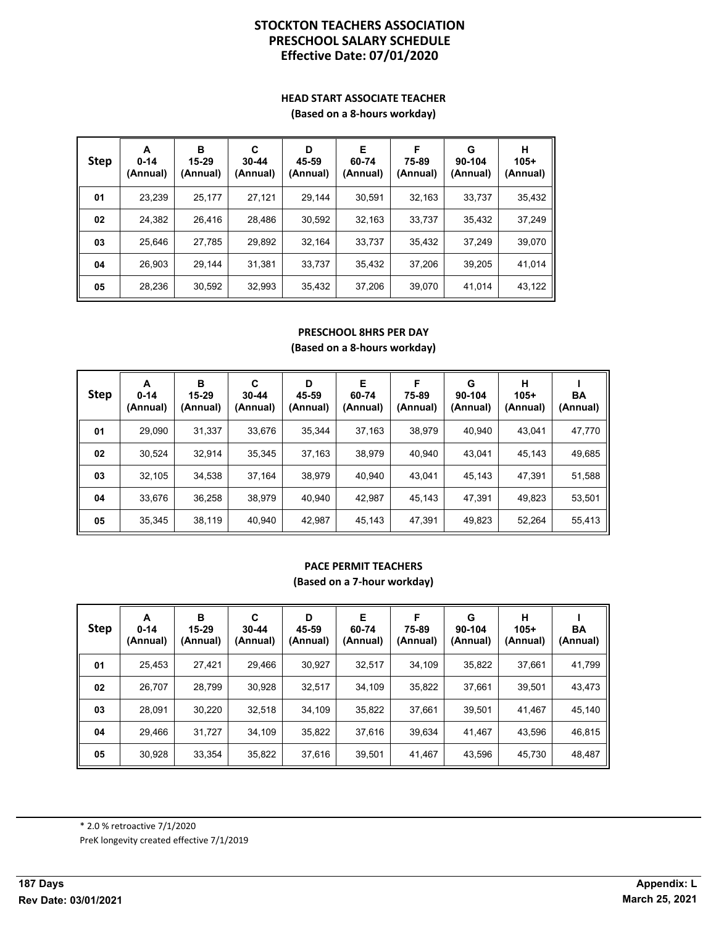# **Effective Date: 07/01/2020 PRESCHOOL SALARY SCHEDULE STOCKTON TEACHERS ASSOCIATION**

#### **HEAD START ASSOCIATE TEACHER (Based on a 8-hours workday)**

| <b>Step</b> | A<br>$0 - 14$<br>(Annual) | в<br>15-29<br>(Annual) | C<br>$30 - 44$<br>(Annual) | D<br>45-59<br>(Annual) | Е<br>60-74<br>(Annual) | F<br>75-89<br>(Annual) | G<br>90-104<br>(Annual) | н<br>$105+$<br>(Annual) |
|-------------|---------------------------|------------------------|----------------------------|------------------------|------------------------|------------------------|-------------------------|-------------------------|
| 01          | 23,239                    | 25,177                 | 27.121                     | 29.144                 | 30.591                 | 32,163                 | 33,737                  | 35,432                  |
| 02          | 24,382                    | 26,416                 | 28.486                     | 30,592                 | 32,163                 | 33,737                 | 35,432                  | 37,249                  |
| 03          | 25,646                    | 27,785                 | 29,892                     | 32,164                 | 33,737                 | 35,432                 | 37.249                  | 39,070                  |
| 04          | 26,903                    | 29.144                 | 31.381                     | 33,737                 | 35,432                 | 37,206                 | 39.205                  | 41,014                  |
| 05          | 28,236                    | 30,592                 | 32,993                     | 35,432                 | 37,206                 | 39,070                 | 41,014                  | 43,122                  |

### **PRESCHOOL 8HRS PER DAY (Based on a 8-hours workday)**

| <b>Step</b> | A<br>$0 - 14$<br>(Annual) | в<br>15-29<br>(Annual) | C<br>$30 - 44$<br>(Annual) | D<br>45-59<br>(Annual) | Е<br>60-74<br>(Annual) | F<br>75-89<br>(Annual) | G<br>90-104<br>(Annual) | н<br>$105+$<br>(Annual) | BA<br>(Annual) |
|-------------|---------------------------|------------------------|----------------------------|------------------------|------------------------|------------------------|-------------------------|-------------------------|----------------|
| 01          | 29.090                    | 31,337                 | 33,676                     | 35.344                 | 37.163                 | 38.979                 | 40.940                  | 43.041                  | 47,770         |
| 02          | 30,524                    | 32.914                 | 35,345                     | 37,163                 | 38.979                 | 40.940                 | 43.041                  | 45.143                  | 49,685         |
| 03          | 32.105                    | 34.538                 | 37,164                     | 38,979                 | 40.940                 | 43.041                 | 45.143                  | 47,391                  | 51,588         |
| 04          | 33.676                    | 36.258                 | 38.979                     | 40.940                 | 42.987                 | 45.143                 | 47.391                  | 49.823                  | 53,501         |
| 05          | 35,345                    | 38,119                 | 40.940                     | 42.987                 | 45,143                 | 47,391                 | 49,823                  | 52,264                  | 55,413         |

# **PACE PERMIT TEACHERS**

**(Based on a 7-hour workday)**

| <b>Step</b> | A<br>$0 - 14$<br>(Annual) | в<br>15-29<br>(Annual) | C<br>$30 - 44$<br>(Annual) | D<br>45-59<br>(Annual) | Е<br>60-74<br>(Annual) | F<br>75-89<br>(Annual) | G<br>90-104<br>(Annual) | н<br>$105+$<br>(Annual) | BA<br>(Annual) |
|-------------|---------------------------|------------------------|----------------------------|------------------------|------------------------|------------------------|-------------------------|-------------------------|----------------|
| 01          | 25,453                    | 27,421                 | 29,466                     | 30.927                 | 32.517                 | 34.109                 | 35.822                  | 37.661                  | 41,799         |
| 02          | 26,707                    | 28,799                 | 30,928                     | 32.517                 | 34.109                 | 35,822                 | 37.661                  | 39,501                  | 43,473         |
| 03          | 28,091                    | 30,220                 | 32,518                     | 34,109                 | 35,822                 | 37,661                 | 39,501                  | 41,467                  | 45,140         |
| 04          | 29,466                    | 31,727                 | 34,109                     | 35,822                 | 37.616                 | 39,634                 | 41.467                  | 43,596                  | 46,815         |
| 05          | 30,928                    | 33,354                 | 35,822                     | 37,616                 | 39,501                 | 41,467                 | 43,596                  | 45,730                  | 48,487         |

PreK longevity created effective 7/1/2019 \* 2.0 % retroactive 7/1/2020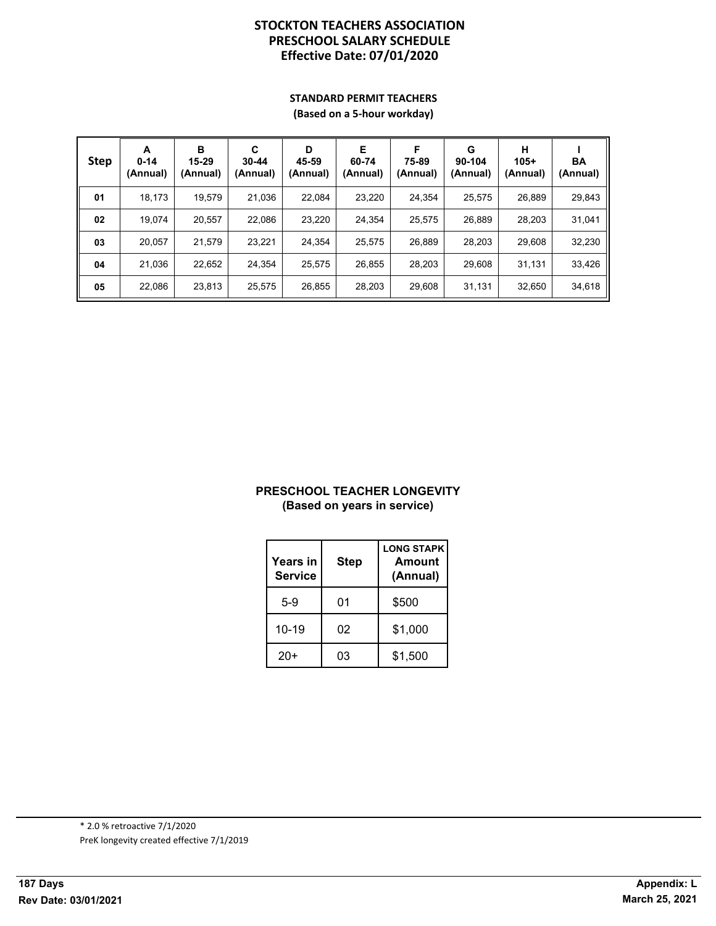# **Effective Date: 07/01/2020 PRESCHOOL SALARY SCHEDULE STOCKTON TEACHERS ASSOCIATION**

# **STANDARD PERMIT TEACHERS**

**(Based on a 5-hour workday)**

| <b>Step</b> | A<br>$0 - 14$<br>(Annual) | в<br>15-29<br>(Annual) | C<br>$30 - 44$<br>(Annual) | D<br>45-59<br>(Annual) | Е<br>60-74<br>(Annual) | F<br>75-89<br>(Annual) | G<br>90-104<br>(Annual) | н<br>$105+$<br>(Annual) | BA<br>(Annual) |
|-------------|---------------------------|------------------------|----------------------------|------------------------|------------------------|------------------------|-------------------------|-------------------------|----------------|
| 01          | 18.173                    | 19.579                 | 21.036                     | 22.084                 | 23.220                 | 24.354                 | 25.575                  | 26.889                  | 29,843         |
| 02          | 19.074                    | 20.557                 | 22.086                     | 23.220                 | 24.354                 | 25.575                 | 26.889                  | 28.203                  | 31,041         |
| 03          | 20.057                    | 21.579                 | 23.221                     | 24.354                 | 25.575                 | 26.889                 | 28.203                  | 29.608                  | 32,230         |
| 04          | 21.036                    | 22,652                 | 24.354                     | 25.575                 | 26,855                 | 28.203                 | 29.608                  | 31,131                  | 33,426         |
| 05          | 22.086                    | 23,813                 | 25.575                     | 26.855                 | 28.203                 | 29.608                 | 31.131                  | 32.650                  | 34,618         |

#### **PRESCHOOL TEACHER LONGEVITY (Based on years in service)**

| Years in<br><b>Service</b> | <b>Step</b> | <b>LONG STAPK</b><br>Amount<br>(Annual) |
|----------------------------|-------------|-----------------------------------------|
| 5-9                        | 01          | \$500                                   |
| $10 - 19$                  | 02          | \$1,000                                 |
| $20+$                      | 03          | \$1,500                                 |

PreK longevity created effective 7/1/2019 \* 2.0 % retroactive 7/1/2020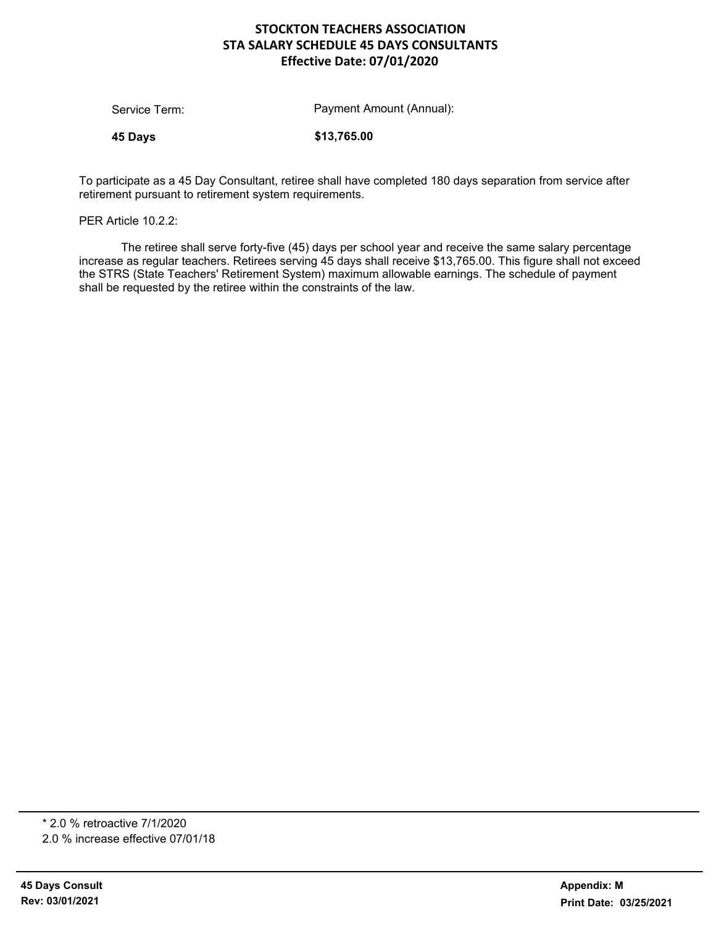# **STOCKTON TEACHERS ASSOCIATION Effective Date: 07/01/2020 STA SALARY SCHEDULE 45 DAYS CONSULTANTS**

**45 Days \$13,765.00**

To participate as a 45 Day Consultant, retiree shall have completed 180 days separation from service after retirement pursuant to retirement system requirements.

PER Article 10.2.2:

The retiree shall serve forty-five (45) days per school year and receive the same salary percentage increase as regular teachers. Retirees serving 45 days shall receive \$13,765.00. This figure shall not exceed the STRS (State Teachers' Retirement System) maximum allowable earnings. The schedule of payment shall be requested by the retiree within the constraints of the law.